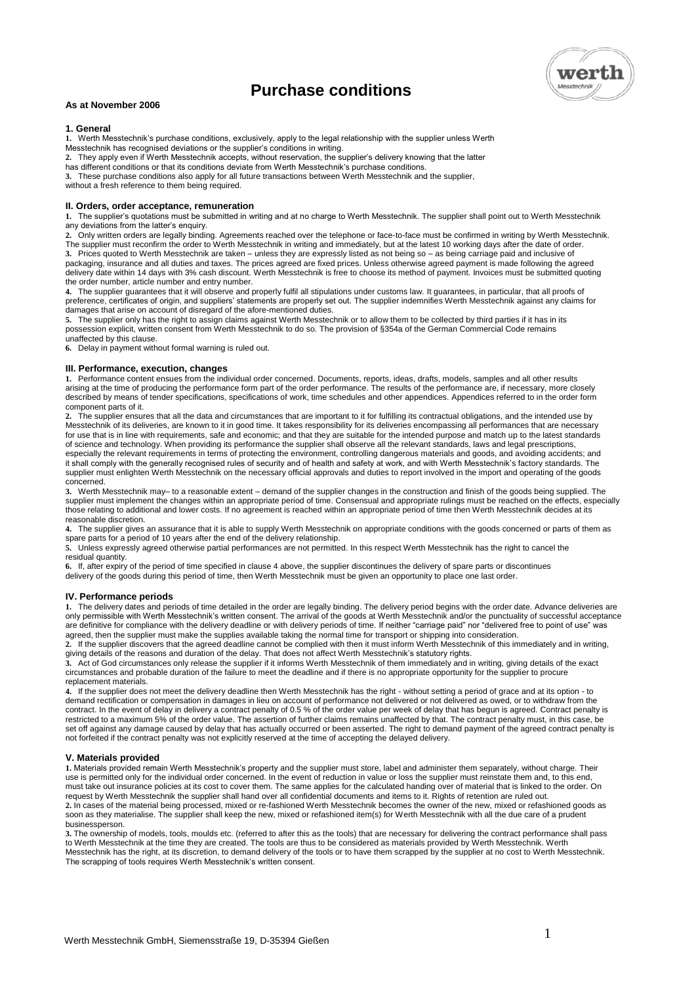# **Purchase conditions**



# **As at November 2006**

# **1. General**

**1.** Werth Messtechnik's purchase conditions, exclusively, apply to the legal relationship with the supplier unless Werth Messtechnik has recognised deviations or the supplier's conditions in writing.

**2.** They apply even if Werth Messtechnik accepts, without reservation, the supplier's delivery knowing that the latter

has different conditions or that its conditions deviate from Werth Messtechnik's purchase conditions.

**3.** These purchase conditions also apply for all future transactions between Werth Messtechnik and the supplier,

without a fresh reference to them being required.

# **II. Orders, order acceptance, remuneration**

**1.** The supplier's quotations must be submitted in writing and at no charge to Werth Messtechnik. The supplier shall point out to Werth Messtechnik any deviations from the latter's enquiry.

**2.** Only written orders are legally binding. Agreements reached over the telephone or face-to-face must be confirmed in writing by Werth Messtechnik. The supplier must reconfirm the order to Werth Messtechnik in writing and immediately, but at the latest 10 working days after the date of order. **3.** Prices quoted to Werth Messtechnik are taken – unless they are expressly listed as not being so – as being carriage paid and inclusive of packaging, insurance and all duties and taxes. The prices agreed are fixed prices. Unless otherwise agreed payment is made following the agreed delivery date within 14 days with 3% cash discount. Werth Messtechnik is free to choose its method of payment. Invoices must be submitted quoting the order number, article number and entry number.

**4.** The supplier guarantees that it will observe and properly fulfil all stipulations under customs law. It guarantees, in particular, that all proofs of preference, certificates of origin, and suppliers' statements are properly set out. The supplier indemnifies Werth Messtechnik against any claims for damages that arise on account of disregard of the afore-mentioned duties.

**5.** The supplier only has the right to assign claims against Werth Messtechnik or to allow them to be collected by third parties if it has in its possession explicit, written consent from Werth Messtechnik to do so. The provision of §354a of the German Commercial Code remains unaffected by this clause.

**6.** Delay in payment without formal warning is ruled out.

# **III. Performance, execution, changes**

1. Performance content ensues from the individual order concerned. Documents, reports, ideas, drafts, models, samples and all other results<br>arising at the time of producing the performance form part of the order performanc described by means of tender specifications, specifications of work, time schedules and other appendices. Appendices referred to in the order form component parts of it.

**2.** The supplier ensures that all the data and circumstances that are important to it for fulfilling its contractual obligations, and the intended use by Messtechnik of its deliveries, are known to it in good time. It takes responsibility for its deliveries encompassing all performances that are necessary for use that is in line with requirements, safe and economic; and that they are suitable for the intended purpose and match up to the latest standards of science and technology. When providing its performance the supplier shall observe all the relevant standards, laws and legal prescriptions, especially the relevant requirements in terms of protecting the environment, controlling dangerous materials and goods, and avoiding accidents; and it shall comply with the generally recognised rules of security and of health and safety at work, and with Werth Messtechnik's factory standards. The supplier must enlighten Werth Messtechnik on the necessary official approvals and duties to report involved in the import and operating of the goods concerned.

**3.** Werth Messtechnik may– to a reasonable extent – demand of the supplier changes in the construction and finish of the goods being supplied. The supplier must implement the changes within an appropriate period of time. Consensual and appropriate rulings must be reached on the effects, especially those relating to additional and lower costs. If no agreement is reached within an appropriate period of time then Werth Messtechnik decides at its reasonable discretion.

4. The supplier gives an assurance that it is able to supply Werth Messtechnik on appropriate conditions with the goods concerned or parts of them as<br>spare parts for a period of 10 years after the end of the delivery rela

**5.** Unless expressly agreed otherwise partial performances are not permitted. In this respect Werth Messtechnik has the right to cancel the residual quantity.

**6.** If, after expiry of the period of time specified in clause 4 above, the supplier discontinues the delivery of spare parts or discontinues delivery of the goods during this period of time, then Werth Messtechnik must be given an opportunity to place one last order.

# **IV. Performance periods**

**1.** The delivery dates and periods of time detailed in the order are legally binding. The delivery period begins with the order date. Advance deliveries are only permissible with Werth Messtechnik's written consent. The arrival of the goods at Werth Messtechnik and/or the punctuality of successful acceptance are definitive for compliance with the delivery deadline or with delivery periods of time. If neither "carriage paid" nor "delivered free to point of use" was agreed, then the supplier must make the supplies available taking the normal time for transport or shipping into consideration.

**2.** If the supplier discovers that the agreed deadline cannot be complied with then it must inform Werth Messtechnik of this immediately and in writing, giving details of the reasons and duration of the delay. That does not affect Werth Messtechnik's statutory rights.

3. Act of God circumstances only release the supplier if it informs Werth Messtechnik of them immediately and in writing, giving details of the exact<br>circumstances and probable duration of the failure to meet the deadline replacement materials.

**4.** If the supplier does not meet the delivery deadline then Werth Messtechnik has the right - without setting a period of grace and at its option - to demand rectification or compensation in damages in lieu on account of performance not delivered or not delivered as owed, or to withdraw from the contract. In the event of delay in delivery a contract penalty of 0.5 % of the order value per week of delay that has begun is agreed. Contract penalty is restricted to a maximum 5% of the order value. The assertion of further claims remains unaffected by that. The contract penalty must, in this case, be set off against any damage caused by delay that has actually occurred or been asserted. The right to demand payment of the agreed contract penalty is not forfeited if the contract penalty was not explicitly reserved at the time of accepting the delayed delivery.

# **V. Materials provided**

**1.** Materials provided remain Werth Messtechnik's property and the supplier must store, label and administer them separately, without charge. Their use is permitted only for the individual order concerned. In the event of reduction in value or loss the supplier must reinstate them and, to this end, must take out insurance policies at its cost to cover them. The same applies for the calculated handing over of material that is linked to the order. On request by Werth Messtechnik the supplier shall hand over all confidential documents and items to it. Rights of retention are ruled out. **2.** In cases of the material being processed, mixed or re-fashioned Werth Messtechnik becomes the owner of the new, mixed or refashioned goods as soon as they materialise. The supplier shall keep the new, mixed or refashioned item(s) for Werth Messtechnik with all the due care of a prudent businessperson.

3. The ownership of models, tools, moulds etc. (referred to after this as the tools) that are necessary for delivering the contract performance shall pass<br>to Werth Messtechnik at the time they are created. The tools are th Messtechnik has the right, at its discretion, to demand delivery of the tools or to have them scrapped by the supplier at no cost to Werth Messtechnik. The scrapping of tools requires Werth Messtechnik's written consent.